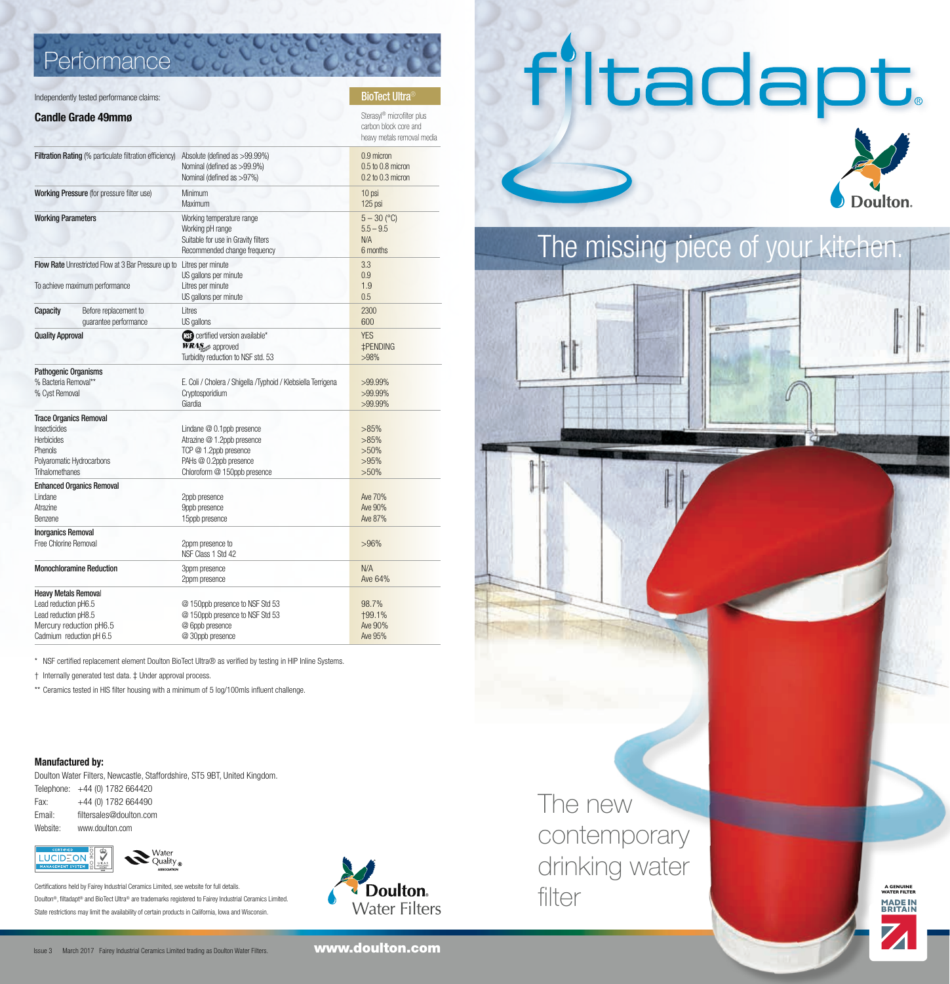## **Performance**

#### Independently tested performance claims:

#### **Candle Grade 49mmø** Sterasyl® microfilter plus

| Filtration Rating (% particulate filtration efficiency)                                                                            |                                                | Absolute (defined as >99.99%)<br>Nominal (defined as >99.9%)<br>Nominal (defined as >97%)                                                    | 0.9 micron<br>0.5 to 0.8 micron<br>0.2 to 0.3 micron |
|------------------------------------------------------------------------------------------------------------------------------------|------------------------------------------------|----------------------------------------------------------------------------------------------------------------------------------------------|------------------------------------------------------|
| <b>Working Pressure (for pressure filter use)</b>                                                                                  |                                                | Minimum<br>Maximum                                                                                                                           | 10 psi<br>125 psi                                    |
| <b>Working Parameters</b>                                                                                                          |                                                | Working temperature range<br>Working pH range<br>Suitable for use in Gravity filters<br>Recommended change frequency                         | $5 - 30$ (°C)<br>$5.5 - 9.5$<br>N/A<br>6 months      |
| Flow Rate Unrestricted Flow at 3 Bar Pressure up to                                                                                |                                                | Litres per minute<br>US gallons per minute                                                                                                   | 3.3<br>0.9                                           |
| To achieve maximum performance                                                                                                     |                                                | Litres per minute<br>US gallons per minute                                                                                                   | 1.9<br>0.5                                           |
| Capacity                                                                                                                           | Before replacement to<br>quarantee performance | Litres<br>US gallons                                                                                                                         | 2300<br>600                                          |
| <b>Quality Approval</b>                                                                                                            |                                                | (ISE certified version available*<br><b>WRAS</b> approved<br>Turbidity reduction to NSF std. 53                                              | <b>YFS</b><br><b>‡PENDING</b><br>>98%                |
| <b>Pathogenic Organisms</b><br>% Bacteria Removal**<br>% Cyst Removal                                                              |                                                | E. Coli / Cholera / Shigella / Typhoid / Klebsiella Terrigena<br>Cryptosporidium<br>Giardia                                                  | $>99.99\%$<br>$>99.99\%$<br>$>99.99\%$               |
| <b>Trace Organics Removal</b><br>Insecticides<br><b>Herbicides</b><br>Phenols<br>Polyaromatic Hydrocarbons<br>Trihalomethanes      |                                                | Lindane $@0.1$ ppb presence<br>Atrazine @ 1.2ppb presence<br>TCP @ 1.2ppb presence<br>PAHs @ 0.2ppb presence<br>Chloroform @ 150ppb presence | >85%<br>>85%<br>>50%<br>>95%<br>$>50\%$              |
| <b>Enhanced Organics Removal</b><br>Lindane<br>Atrazine<br><b>Benzene</b>                                                          |                                                | 2ppb presence<br>9ppb presence<br>15ppb presence                                                                                             | Ave 70%<br>Ave 90%<br>Ave 87%                        |
| <b>Inorganics Removal</b><br>Free Chlorine Removal                                                                                 |                                                | 2ppm presence to<br>NSF Class 1 Std 42                                                                                                       | >96%                                                 |
| <b>Monochloramine Reduction</b>                                                                                                    |                                                | 3ppm presence<br>2ppm presence                                                                                                               | N/A<br>Ave 64%                                       |
| <b>Heavy Metals Removal</b><br>Lead reduction pH6.5<br>Lead reduction pH8.5<br>Mercury reduction pH6.5<br>Cadmium reduction pH 6.5 |                                                | @ 150ppb presence to NSF Std 53<br>@ 150ppb presence to NSF Std 53<br>@ 6ppb presence<br>@ 30ppb presence                                    | 98.7%<br><b>+99.1%</b><br>Ave 90%<br>Ave 95%         |

\* NSF certified replacement element Doulton BioTect Ultra® as verified by testing in HIP Inline Systems.

† Internally generated test data. ‡ Under approval process.

\*\* Ceramics tested in HIS filter housing with a minimum of 5 log/100mls influent challenge.

#### **Manufactured by:**

Doulton Water Filters, Newcastle, Staffordshire, ST5 9BT, United Kingdom. Telephone: +44 (0) 1782 664420

| Fax:     | +44 (0) 1782 664490     |
|----------|-------------------------|
| Email:   | filtersales@doulton.com |
| Mehsite: | www.doulton.com         |



Certifications held by Fairey Industrial Ceramics Limited, see website for full details. Doulton®, filtadapt® and BioTect Ultra® are trademarks registered to Fairey Industrial Ceramics Limited. State restrictions may limit the availability of certain products in California, Iowa and Wisconsin.



 carbon block core and heavy metals removal media

> The new contemporary drinking water filter





**A GENUINE WATER FILTER**

MADE IN<br>BRITAIN

The missing piece of your kitchen.

filtadapt

Issue 3 March 2017 Fairey Industrial Ceramics Limited trading as Doulton Water Filters.

www.doulton.com